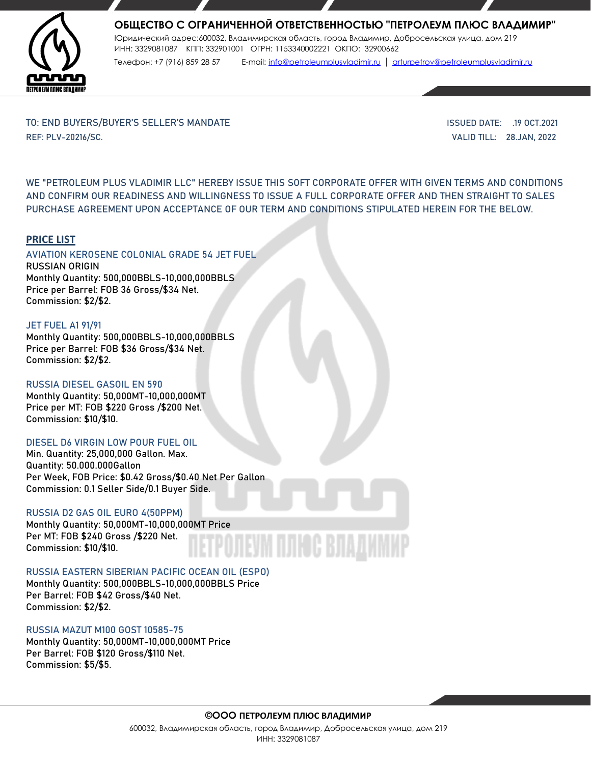

# **ОБЩЕСТВО С ОГРАНИЧЕННОЙ ОТВЕТСТВЕННОСТЬЮ "ПЕТРОЛЕУМ ПЛЮС ВЛАДИМИР"**

Юридический адрес:600032, Владимирская область, город Владимир, Добросельская улица, дом 219 ИНН: 3329081087 КПП: 332901001 ОГРН: 1153340002221 ОКПО: 32900662

Телефон: +7 (916) 859 28 57 E-mail: [info@petroleumplusvladimir.ru](mailto:info@petroleumplusvladimir.ru) | [arturpetrov@petroleumplusvladimir.ru](mailto:arturpetrov@petroleumplusvladimir.ru)

TO: END BUYERS/BUYER'S SELLER'S MANDATE ISSUED DATE: .19 OCT.2021 REF: PLV-20216/SC. VALID TILL: 28.JAN, 2022

WE **"PETROLEUM PLUS VLADIMIR LLC"** HEREBY ISSUE THIS SOFT CORPORATE OFFER WITH GIVEN TERMS AND CONDITIONS AND CONFIRM OUR READINESS AND WILLINGNESS TO ISSUE A FULL CORPORATE OFFER AND THEN STRAIGHT TO SALES PURCHASE AGREEMENT UPON ACCEPTANCE OF OUR TERM AND CONDITIONS STIPULATED HEREIN FOR THE BELOW.

## **PRICE LIST**

### AVIATION KEROSENE COLONIAL GRADE 54 JET FUEL RUSSIAN ORIGIN Monthly Quantity: 500,000BBLS-10,000,000BBLS Price per Barrel: FOB 36 Gross/\$34 Net.

Commission: \$2/\$2.

### JET FUEL A1 91/91

Monthly Quantity: 500,000BBLS-10,000,000BBLS Price per Barrel: FOB \$36 Gross/\$34 Net. Commission: \$2/\$2.

## RUSSIA DIESEL GASOIL EN 590

Monthly Quantity: 50,000MT-10,000,000MT Price per MT: FOB \$220 Gross /\$200 Net. Commission: \$10/\$10.

#### DIESEL D6 VIRGIN LOW POUR FUEL OIL

Min. Quantity: 25,000,000 Gallon. Max. Quantity: 50.000.000Gallon Per Week, FOB Price: \$0.42 Gross/\$0.40 Net Per Gallon Commission: 0.1 Seller Side/0.1 Buyer Side.

## RUSSIA D2 GAS OIL EURO 4(50PPM)

Monthly Quantity: 50,000MT-10,000,000MT Price Per MT: FOB \$240 Gross /\$220 Net. Commission: \$10/\$10.

#### RUSSIA EASTERN SIBERIAN PACIFIC OCEAN OIL (ESPO)

Monthly Quantity: 500,000BBLS-10,000,000BBLS Price Per Barrel: FOB \$42 Gross/\$40 Net. Commission: \$2/\$2.

## RUSSIA MAZUT M100 GOST 10585-75

Monthly Quantity: 50,000MT-10,000,000MT Price Per Barrel: FOB \$120 Gross/\$110 Net. Commission: \$5/\$5.

#### **©ООО ПЕТРОЛЕУМ ПЛЮС ВЛАДИМИР**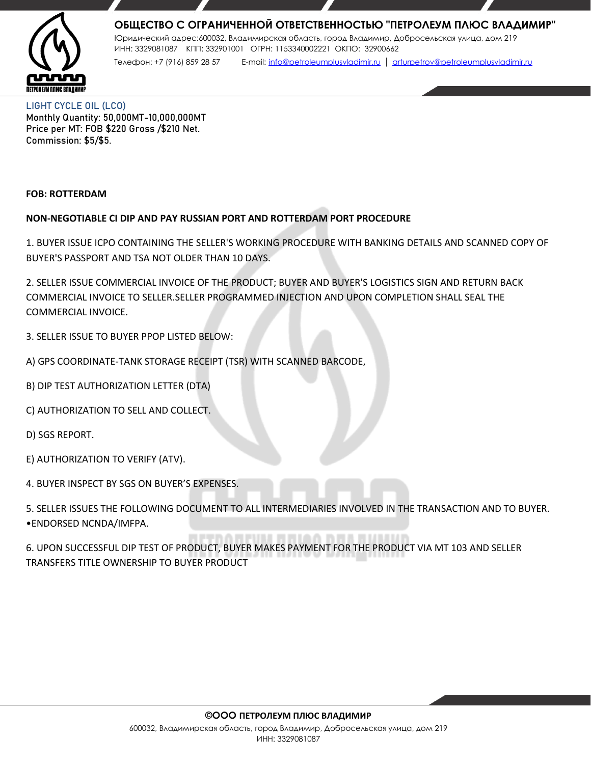

# **ОБЩЕСТВО С ОГРАНИЧЕННОЙ ОТВЕТСТВЕННОСТЬЮ "ПЕТРОЛЕУМ ПЛЮС ВЛАДИМИР"**

Юридический адрес:600032, Владимирская область, город Владимир, Добросельская улица, дом 219 ИНН: 3329081087 КПП: 332901001 ОГРН: 1153340002221 ОКПО: 32900662 Телефон: +7 (916) 859 28 57 E-mail: [info@petroleumplusvladimir.ru](mailto:info@petroleumplusvladimir.ru) | [arturpetrov@petroleumplusvladimir.ru](mailto:arturpetrov@petroleumplusvladimir.ru)

LIGHT CYCLE OIL (LCO) Monthly Quantity: 50,000MT-10,000,000MT Price per MT: FOB \$220 Gross /\$210 Net. Commission: \$5/\$5.

## **FOB: ROTTERDAM**

# **NON-NEGOTIABLE CI DIP AND PAY RUSSIAN PORT AND ROTTERDAM PORT PROCEDURE**

1. BUYER ISSUE ICPO CONTAINING THE SELLER'S WORKING PROCEDURE WITH BANKING DETAILS AND SCANNED COPY OF BUYER'S PASSPORT AND TSA NOT OLDER THAN 10 DAYS.

2. SELLER ISSUE COMMERCIAL INVOICE OF THE PRODUCT; BUYER AND BUYER'S LOGISTICS SIGN AND RETURN BACK COMMERCIAL INVOICE TO SELLER.SELLER PROGRAMMED INJECTION AND UPON COMPLETION SHALL SEAL THE COMMERCIAL INVOICE.

3. SELLER ISSUE TO BUYER PPOP LISTED BELOW:

- A) GPS COORDINATE-TANK STORAGE RECEIPT (TSR) WITH SCANNED BARCODE,
- B) DIP TEST AUTHORIZATION LETTER (DTA)
- C) AUTHORIZATION TO SELL AND COLLECT.

D) SGS REPORT.

E) AUTHORIZATION TO VERIFY (ATV).

4. BUYER INSPECT BY SGS ON BUYER'S EXPENSES.

5. SELLER ISSUES THE FOLLOWING DOCUMENT TO ALL INTERMEDIARIES INVOLVED IN THE TRANSACTION AND TO BUYER. •ENDORSED NCNDA/IMFPA.

6. UPON SUCCESSFUL DIP TEST OF PRODUCT, BUYER MAKES PAYMENT FOR THE PRODUCT VIA MT 103 AND SELLER TRANSFERS TITLE OWNERSHIP TO BUYER PRODUCT

#### **©ООО ПЕТРОЛЕУМ ПЛЮС ВЛАДИМИР**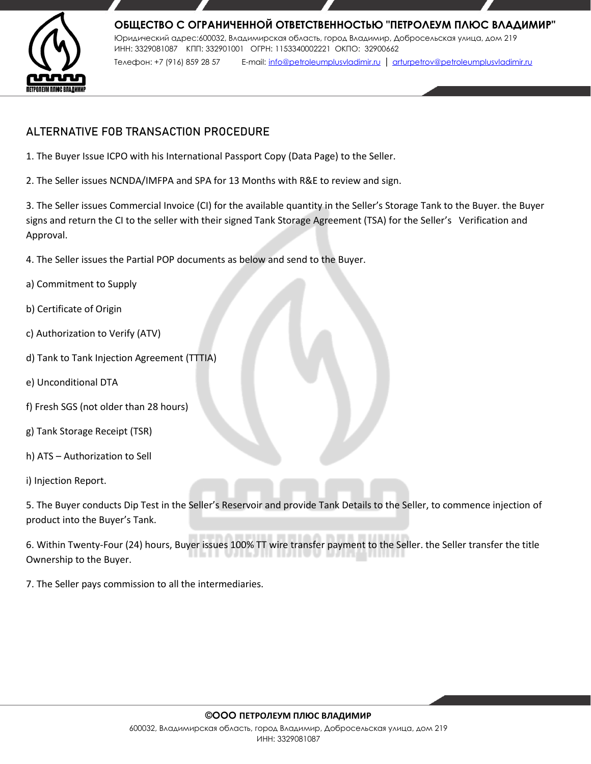

# **ALTERNATIVE FOB TRANSACTION PROCEDURE**

- 1. The Buyer Issue ICPO with his International Passport Copy (Data Page) to the Seller.
- 2. The Seller issues NCNDA/IMFPA and SPA for 13 Months with R&E to review and sign.

3. The Seller issues Commercial Invoice (CI) for the available quantity in the Seller's Storage Tank to the Buyer. the Buyer signs and return the CI to the seller with their signed Tank Storage Agreement (TSA) for the Seller's Verification and Approval.

4. The Seller issues the Partial POP documents as below and send to the Buyer.

- a) Commitment to Supply
- b) Certificate of Origin
- c) Authorization to Verify (ATV)
- d) Tank to Tank Injection Agreement (TTTIA)
- e) Unconditional DTA
- f) Fresh SGS (not older than 28 hours)
- g) Tank Storage Receipt (TSR)
- h) ATS Authorization to Sell

i) Injection Report.

5. The Buyer conducts Dip Test in the Seller's Reservoir and provide Tank Details to the Seller, to commence injection of product into the Buyer's Tank.

6. Within Twenty-Four (24) hours, Buyer issues 100% TT wire transfer payment to the Seller. the Seller transfer the title Ownership to the Buyer.

7. The Seller pays commission to all the intermediaries.

## **©ООО ПЕТРОЛЕУМ ПЛЮС ВЛАДИМИР**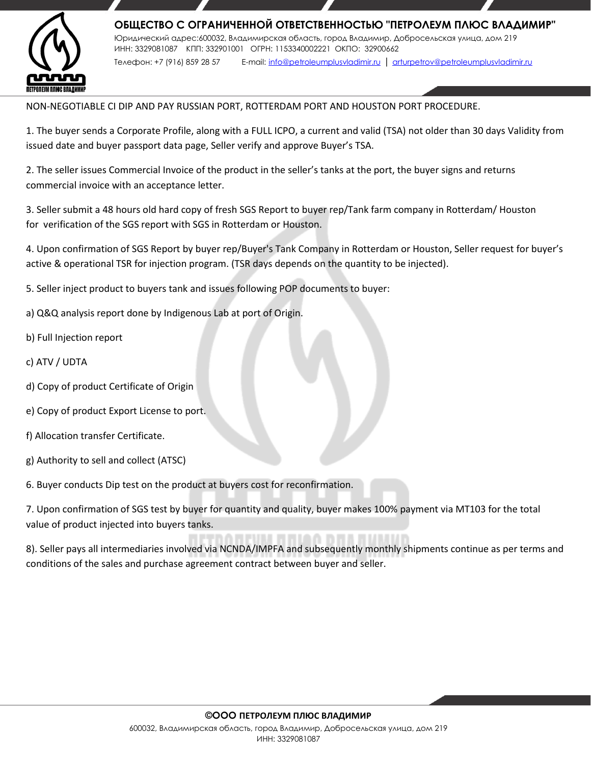

NON-NEGOTIABLE CI DIP AND PAY RUSSIAN PORT, ROTTERDAM PORT AND HOUSTON PORT PROCEDURE.

1. The buyer sends a Corporate Profile, along with a FULL ICPO, a current and valid (TSA) not older than 30 days Validity from issued date and buyer passport data page, Seller verify and approve Buyer's TSA.

2. The seller issues Commercial Invoice of the product in the seller's tanks at the port, the buyer signs and returns commercial invoice with an acceptance letter.

3. Seller submit a 48 hours old hard copy of fresh SGS Report to buyer rep/Tank farm company in Rotterdam/ Houston for verification of the SGS report with SGS in Rotterdam or Houston.

4. Upon confirmation of SGS Report by buyer rep/Buyer's Tank Company in Rotterdam or Houston, Seller request for buyer's active & operational TSR for injection program. (TSR days depends on the quantity to be injected).

5. Seller inject product to buyers tank and issues following POP documents to buyer:

- a) Q&Q analysis report done by Indigenous Lab at port of Origin.
- b) Full Injection report
- c) ATV / UDTA
- d) Copy of product Certificate of Origin
- e) Copy of product Export License to port.
- f) Allocation transfer Certificate.
- g) Authority to sell and collect (ATSC)

6. Buyer conducts Dip test on the product at buyers cost for reconfirmation.

7. Upon confirmation of SGS test by buyer for quantity and quality, buyer makes 100% payment via MT103 for the total value of product injected into buyers tanks.

8). Seller pays all intermediaries involved via NCNDA/IMPFA and subsequently monthly shipments continue as per terms and conditions of the sales and purchase agreement contract between buyer and seller.

#### **©ООО ПЕТРОЛЕУМ ПЛЮС ВЛАДИМИР**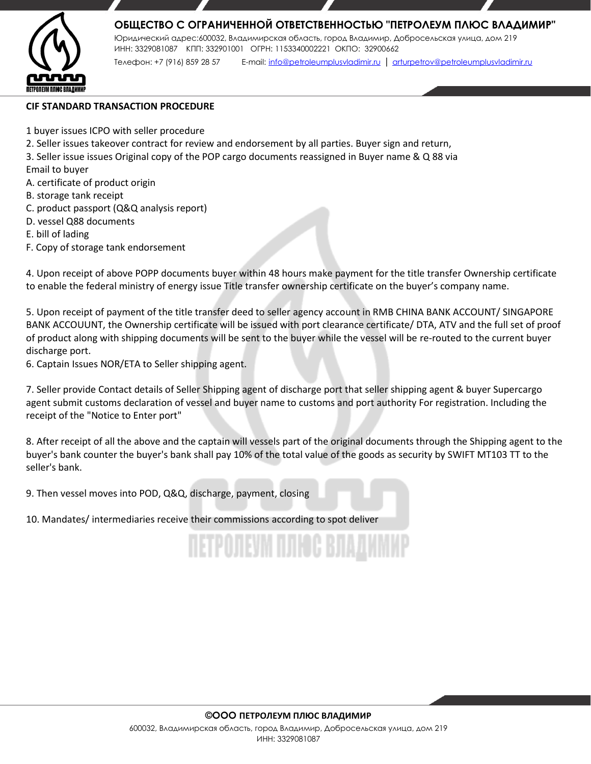

# **ОБЩЕСТВО С ОГРАНИЧЕННОЙ ОТВЕТСТВЕННОСТЬЮ "ПЕТРОЛЕУМ ПЛЮС ВЛАДИМИР"**

Юридический адрес:600032, Владимирская область, город Владимир, Добросельская улица, дом 219 ИНН: 3329081087 КПП: 332901001 ОГРН: 1153340002221 ОКПО: 32900662 Телефон: +7 (916) 859 28 57 E-mail: [info@petroleumplusvladimir.ru](mailto:info@petroleumplusvladimir.ru) | [arturpetrov@petroleumplusvladimir.ru](mailto:arturpetrov@petroleumplusvladimir.ru)

### **CIF STANDARD TRANSACTION PROCEDURE**

- 1 buyer issues ICPO with seller procedure
- 2. Seller issues takeover contract for review and endorsement by all parties. Buyer sign and return,
- 3. Seller issue issues Original copy of the POP cargo documents reassigned in Buyer name & Q 88 via
- Email to buyer
- A. certificate of product origin
- B. storage tank receipt
- C. product passport (Q&Q analysis report)
- D. vessel Q88 documents
- E. bill of lading
- F. Copy of storage tank endorsement

4. Upon receipt of above POPP documents buyer within 48 hours make payment for the title transfer Ownership certificate to enable the federal ministry of energy issue Title transfer ownership certificate on the buyer's company name.

5. Upon receipt of payment of the title transfer deed to seller agency account in RMB CHINA BANK ACCOUNT/ SINGAPORE BANK ACCOUUNT, the Ownership certificate will be issued with port clearance certificate/ DTA, ATV and the full set of proof of product along with shipping documents will be sent to the buyer while the vessel will be re-routed to the current buyer discharge port.

6. Captain Issues NOR/ETA to Seller shipping agent.

7. Seller provide Contact details of Seller Shipping agent of discharge port that seller shipping agent & buyer Supercargo agent submit customs declaration of vessel and buyer name to customs and port authority For registration. Including the receipt of the "Notice to Enter port"

8. After receipt of all the above and the captain will vessels part of the original documents through the Shipping agent to the buyer's bank counter the buyer's bank shall pay 10% of the total value of the goods as security by SWIFT MT103 TT to the seller's bank.

<u> ILETPOJ EJ KILJINUS BILAJI</u>

9. Then vessel moves into POD, Q&Q, discharge, payment, closing

10. Mandates/ intermediaries receive their commissions according to spot deliver

## **©ООО ПЕТРОЛЕУМ ПЛЮС ВЛАДИМИР**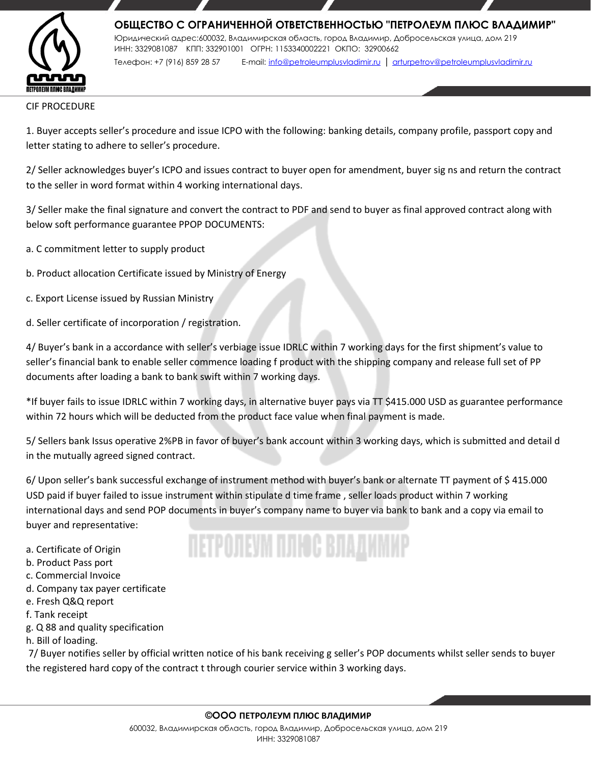

CIF PROCEDURE

1. Buyer accepts seller's procedure and issue ICPO with the following: banking details, company profile, passport copy and letter stating to adhere to seller's procedure.

2/ Seller acknowledges buyer's ICPO and issues contract to buyer open for amendment, buyer sig ns and return the contract to the seller in word format within 4 working international days.

3/ Seller make the final signature and convert the contract to PDF and send to buyer as final approved contract along with below soft performance guarantee PPOP DOCUMENTS:

- a. C commitment letter to supply product
- b. Product allocation Certificate issued by Ministry of Energy
- c. Export License issued by Russian Ministry
- d. Seller certificate of incorporation / registration.

4/ Buyer's bank in a accordance with seller's verbiage issue IDRLC within 7 working days for the first shipment's value to seller's financial bank to enable seller commence loading f product with the shipping company and release full set of PP documents after loading a bank to bank swift within 7 working days.

\*If buyer fails to issue IDRLC within 7 working days, in alternative buyer pays via TT \$415.000 USD as guarantee performance within 72 hours which will be deducted from the product face value when final payment is made.

5/ Sellers bank Issus operative 2%PB in favor of buyer's bank account within 3 working days, which is submitted and detail d in the mutually agreed signed contract.

6/ Upon seller's bank successful exchange of instrument method with buyer's bank or alternate TT payment of \$ 415.000 USD paid if buyer failed to issue instrument within stipulate d time frame , seller loads product within 7 working international days and send POP documents in buyer's company name to buyer via bank to bank and a copy via email to buyer and representative:

IN POLISING OG BJAVINING

a. Certificate of Origin

- b. Product Pass port
- c. Commercial Invoice
- d. Company tax payer certificate
- e. Fresh Q&Q report
- f. Tank receipt
- g. Q 88 and quality specification
- h. Bill of loading.

7/ Buyer notifies seller by official written notice of his bank receiving g seller's POP documents whilst seller sends to buyer the registered hard copy of the contract t through courier service within 3 working days.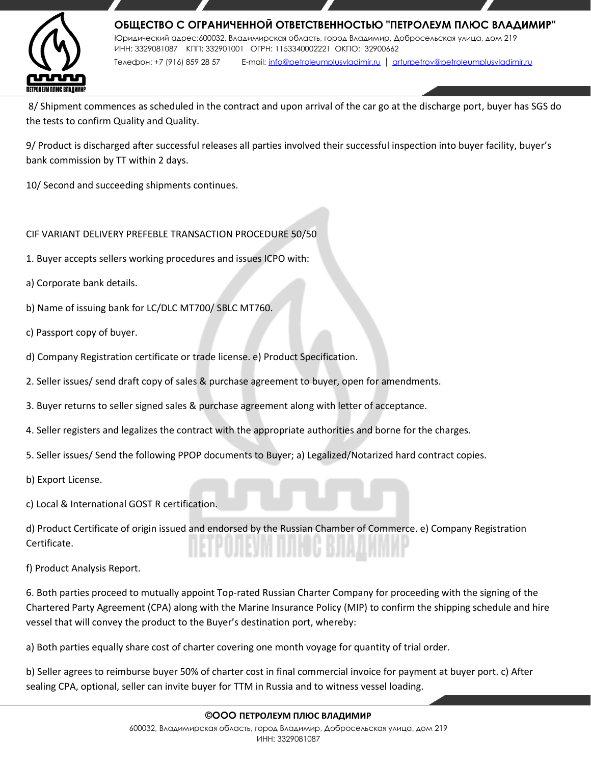

8/ Shipment commences as scheduled in the contract and upon arrival of the car go at the discharge port, buyer has SGS do the tests to confirm Quality and Quality.

9/ Product is discharged after successful releases all parties involved their successful inspection into buyer facility, buyer's bank commission by TT within 2 days.

10/ Second and succeeding shipments continues.

# CIF VARIANT DELIVERY PREFEBLE TRANSACTION PROCEDURE 50/50

- 1. Buyer accepts sellers working procedures and issues ICPO with:
- a) Corporate bank details.
- b) Name of issuing bank for LC/DLC MT700/ SBLC MT760.
- c) Passport copy of buyer.
- d) Company Registration certificate or trade license. e) Product Specification.
- 2. Seller issues/ send draft copy of sales & purchase agreement to buyer, open for amendments.
- 3. Buyer returns to seller signed sales & purchase agreement along with letter of acceptance.
- 4. Seller registers and legalizes the contract with the appropriate authorities and borne for the charges.
- 5. Seller issues/ Send the following PPOP documents to Buyer; a) Legalized/Notarized hard contract copies.
- b) Export License.
- c) Local & International GOST R certification.

d) Product Certificate of origin issued and endorsed by the Russian Chamber of Commerce. e) Company Registration Certificate.

f) Product Analysis Report.

6. Both parties proceed to mutually appoint Top-rated Russian Charter Company for proceeding with the signing of the Chartered Party Agreement (CPA) along with the Marine Insurance Policy (MIP) to confirm the shipping schedule and hire vessel that will convey the product to the Buyer's destination port, whereby:

a) Both parties equally share cost of charter covering one month voyage for quantity of trial order.

b) Seller agrees to reimburse buyer 50% of charter cost in final commercial invoice for payment at buyer port. c) After sealing CPA, optional, seller can invite buyer for TTM in Russia and to witness vessel loading.